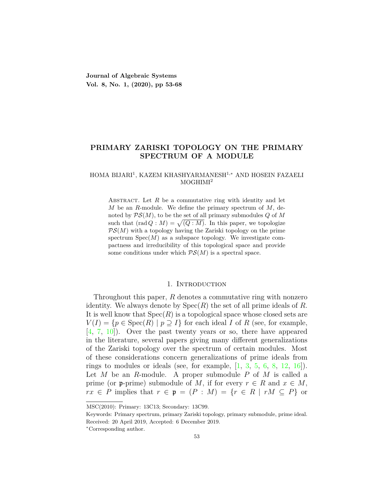**Journal of Algebraic Systems Vol. 8, No. 1, (2020), pp 53-68**

# **PRIMARY ZARISKI TOPOLOGY ON THE PRIMARY SPECTRUM OF A MODULE**

## HOMA BIJARI<sup>1</sup> , KAZEM KHASHYARMANESH<sup>1</sup>*,<sup>∗</sup>* AND HOSEIN FAZAELI  $MOGHIMI<sup>2</sup>$

ABSTRACT. Let  $R$  be a commutative ring with identity and let *M* be an *R*-module. We define the primary spectrum of *M*, denoted by *PS*(*M*), to be the set of all primary submodules *Q* of *M* such that  $(\text{rad } Q : M) = \sqrt{Q : M}$ . In this paper, we topologize  $PS(M)$  with a topology having the Zariski topology on the prime spectrum  $Spec(M)$  as a subspace topology. We investigate compactness and irreducibility of this topological space and provide some conditions under which  $PS(M)$  is a spectral space.

#### 1. Introduction

Throughout this paper, *R* denotes a commutative ring with nonzero identity. We always denote by Spec(*R*) the set of all prime ideals of *R*. It is well know that Spec(*R*) is a topological space whose closed sets are  $V(I) = \{p \in \text{Spec}(R) \mid p \supseteq I\}$  for each ideal *I* of *R* (see, for example, [[4,](#page-14-0) [7](#page-14-1), [10\]](#page-14-2)). Over the past twenty years or so, there have appeared in the literature, several papers giving many different generalizations of the Zariski topology over the spectrum of certain modules. Most of these considerations concern generalizations of prime ideals from rings to modules or ideals (see, for example, [[1](#page-14-3), [3,](#page-14-4) [5](#page-14-5), [6](#page-14-6), [8,](#page-14-7) [12,](#page-14-8) [16](#page-14-9)]). Let *M* be an *R*-module. A proper submodule *P* of *M* is called a prime (or **p**-prime) submodule of *M*, if for every  $r \in R$  and  $x \in M$ , *rx*  $\in$  *P* implies that  $r \in \mathfrak{p} = (P : M) = \{r \in R \mid rM \subseteq P\}$  or

MSC(2010): Primary: 13C13; Secondary: 13C99.

Keywords: Primary spectrum, primary Zariski topology, primary submodule, prime ideal. Received: 20 April 2019, Accepted: 6 December 2019.

*<sup>∗</sup>*Corresponding author.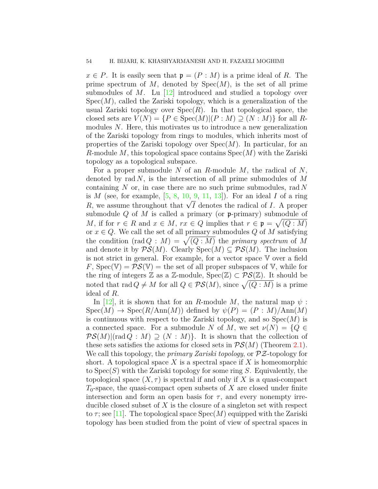$x \in P$ . It is easily seen that  $\mathfrak{p} = (P : M)$  is a prime ideal of *R*. The prime spectrum of  $M$ , denoted by  $Spec(M)$ , is the set of all prime submodules of *M*. Lu [\[12\]](#page-14-8) introduced and studied a topology over  $Spec(M)$ , called the Zariski topology, which is a generalization of the usual Zariski topology over  $Spec(R)$ . In that topological space, the closed sets are  $V(N) = {P \in \text{Spec}(M) | (P : M) \supseteq (N : M)}$  for all *R*modules *N*. Here, this motivates us to introduce a new generalization of the Zariski topology from rings to modules, which inherits most of properties of the Zariski topology over Spec(*M*). In particular, for an *R*-module *M*, this topological space contains Spec(*M*) with the Zariski topology as a topological subspace.

For a proper submodule *N* of an *R*-module *M*, the radical of *N*, denoted by rad *N*, is the intersection of all prime submodules of *M* containing *N* or, in case there are no such prime submodules, rad *N* is *M* (see, for example, [[5](#page-14-5), [8,](#page-14-7) [10](#page-14-2), [9,](#page-14-10) [11](#page-14-11), [13\]](#page-14-12)). For an ideal *I* of a ring *R*, we assume throughout that  $\sqrt{I}$  denotes the radical of *I*. A proper submodule *Q* of *M* is called a primary (or p-primary) submodule of *M*, if for  $r \in R$  and  $x \in M$ ,  $rx \in Q$  implies that  $r \in \mathfrak{p} = \sqrt{(Q : M)}$ or  $x \in Q$ . We call the set of all primary submodules  $Q$  of  $M$  satisfying the condition  $(\text{rad } Q : M) = \sqrt{Q : M}$  the *primary spectrum* of M and denote it by  $\mathcal{PS}(M)$ . Clearly  $Spec(M) \subseteq \mathcal{PS}(M)$ . The inclusion is not strict in general. For example, for a vector space V over a field *F*,  $Spec(\mathbb{V}) = PS(\mathbb{V})$  = the set of all proper subspaces of  $\mathbb{V}$ , while for the ring of integers  $\mathbb Z$  as a  $\mathbb Z$ -module,  $Spec(\mathbb Z) \subset \mathcal{PS}(\mathbb Z)$ . It should be noted that  $\text{rad } Q \neq M$  for all  $Q \in \mathcal{PS}(M)$ , since  $\sqrt{(Q:M)}$  is a prime ideal of *R*.

In [\[12\]](#page-14-8), it is shown that for an *R*-module *M*, the natural map  $\psi$ :  $Spec(M) \rightarrow Spec(R/Ann(M))$  defined by  $\psi(P) = (P : M)/Ann(M)$ is continuous with respect to the Zariski topology, and so  $Spec(M)$  is a connected space. For a submodule *N* of *M*, we set  $\nu(N) = \{Q \in$  $\mathcal{PS}(M)$ |(rad  $Q : M$ )  $\supset (N : M)$ }. It is shown that the collection of these sets satisfies the axioms for closed sets in  $\mathcal{PS}(M)$  (Theorem [2.1](#page-2-0)). We call this topology, the *primary Zariski topology*, or *PZ*-topology for short. A topological space *X* is a spectral space if *X* is homeomorphic to Spec(*S*) with the Zariski topology for some ring *S*. Equivalently, the topological space  $(X, \tau)$  is spectral if and only if X is a quasi-compact *T*0-space, the quasi-compact open subsets of *X* are closed under finite intersection and form an open basis for  $\tau$ , and every nonempty irreducible closed subset of *X* is the closure of a singleton set with respect to  $\tau$ ; see [[11](#page-14-11)]. The topological space  $Spec(M)$  equipped with the Zariski topology has been studied from the point of view of spectral spaces in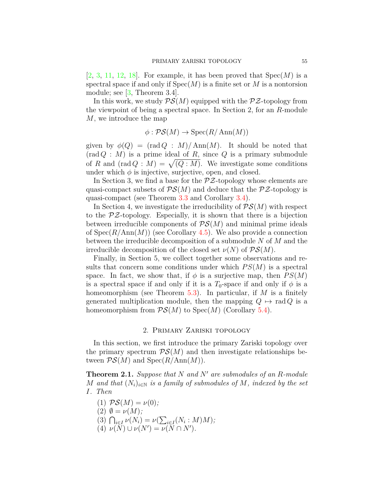$[2, 3, 11, 12, 18]$  $[2, 3, 11, 12, 18]$  $[2, 3, 11, 12, 18]$  $[2, 3, 11, 12, 18]$  $[2, 3, 11, 12, 18]$  $[2, 3, 11, 12, 18]$  $[2, 3, 11, 12, 18]$  $[2, 3, 11, 12, 18]$  $[2, 3, 11, 12, 18]$  $[2, 3, 11, 12, 18]$  $[2, 3, 11, 12, 18]$ . For example, it has been proved that  $Spec(M)$  is a spectral space if and only if  $Spec(M)$  is a finite set or M is a nontorsion module; see  $\vert 3$ , Theorem 3.4.

In this work, we study  $PS(M)$  equipped with the  $P\mathcal{Z}$ -topology from the viewpoint of being a spectral space. In Section 2, for an *R*-module *M*, we introduce the map

$$
\phi : \mathcal{PS}(M) \to \operatorname{Spec}(R/\operatorname{Ann}(M))
$$

given by  $\phi(Q) = (\text{rad } Q : M) / \text{Ann}(M)$ . It should be noted that  $(\text{rad } Q : M)$  is a prime ideal of  $R$ , since  $Q$  is a primary submodule of *R* and  $(\text{rad } Q : M) = \sqrt{Q : M}$ . We investigate some conditions under which  $\phi$  is injective, surjective, open, and closed.

In Section 3, we find a base for the *PZ*-topology whose elements are quasi-compact subsets of  $PS(M)$  and deduce that the  $PZ$ -topology is quasi-compact (see Theorem [3.3](#page-7-0) and Corollary [3.4\)](#page-8-0).

In Section 4, we investigate the irreducibility of  $\mathcal{PS}(M)$  with respect to the *PZ*-topology. Especially, it is shown that there is a bijection between irreducible components of  $\mathcal{PS}(M)$  and minimal prime ideals of Spec(*R/*Ann(*M*)) (see Corollary [4.5\)](#page-10-0). We also provide a connection between the irreducible decomposition of a submodule *N* of *M* and the irreducible decomposition of the closed set  $\nu(N)$  of  $\mathcal{PS}(M)$ .

Finally, in Section 5, we collect together some observations and results that concern some conditions under which  $PS(M)$  is a spectral space. In fact, we show that, if  $\phi$  is a surjective map, then  $PS(M)$ is a spectral space if and only if it is a  $T_0$ -space if and only if  $\phi$  is a homeomorphism (see Theorem [5.3\)](#page-13-0). In particular, if *M* is a finitely generated multiplication module, then the mapping  $Q \mapsto \text{rad } Q$  is a homeomorphism from  $\mathcal{PS}(M)$  to Spec $(M)$  (Corollary [5.4\)](#page-14-14).

## 2. Primary Zariski topology

In this section, we first introduce the primary Zariski topology over the primary spectrum  $PS(M)$  and then investigate relationships between  $\mathcal{PS}(M)$  and  $Spec(R/Ann(M))$ .

<span id="page-2-0"></span>**Theorem 2.1.** *Suppose that N and N′ are submodules of an R-module M* and that  $(N_i)_{i \in \mathbb{N}}$  *is a family of submodules of M, indexed by the set I. Then*

(1)  $\mathcal{PS}(M) = \nu(0)$ ;  $(2)$   $\emptyset = \nu(M)$ ;  $\nu(Y_i) = \nu(\sum_{i \in I} (N_i : M)M)$ ;<br>  $\sum_{i \in I} (N_i : M)M$  $\nu(N) \cup \nu(N') = \nu(N \cap N').$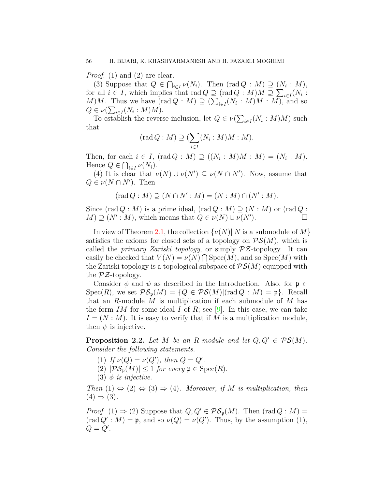*Proof.* (1) and (2) are clear.

(3) Suppose that  $Q \in \bigcap_{i \in I} \nu(N_i)$ . Then  $(\text{rad } Q : M) \supseteq (N_i : M)$ , for all  $i \in I$ , which implies that  $\text{rad } Q \supseteq (\text{rad } Q : M)M \supseteq \sum_{i \in I} (N_i : M)$  $M$ )*M*. Thus we have (rad  $Q : M$ )  $\supseteq (\sum_{i \in I} (N_i : M)M : M)$ , and so  $Q \in \nu(\sum_{i \in I} (N_i : M)M).$ 

To establish the reverse inclusion, let  $Q \in \nu(\sum_{i \in I} (N_i : M)M)$  such that

$$
(\operatorname{rad} Q : M) \supseteq (\sum_{i \in I} (N_i : M)M : M).
$$

Then, for each  $i \in I$ ,  $(\text{rad } Q : M) \supseteq ((N_i : M)M : M) = (N_i : M)$ . Hence  $Q \in \bigcap_{i \in I} \nu(N_i)$ .

(4) It is clear that  $\nu(N) \cup \nu(N') \subseteq \nu(N \cap N')$ . Now, assume that  $Q \in \nu(N \cap N')$ . Then

$$
(\mathrm{rad}\,Q:M)\supseteq (N\cap N':M)=(N:M)\cap (N':M).
$$

Since  $(\text{rad } Q : M)$  is a prime ideal,  $(\text{rad } Q : M) \supseteq (N : M)$  or  $(\text{rad } Q : M)$  $M$ )  $\supseteq$   $(N' : M)$ , which means that  $Q \in \nu(N) \cup \nu(N'')$  $\Box$ 

In view of Theorem [2.1,](#page-2-0) the collection  $\{\nu(N) | N$  is a submodule of M satisfies the axioms for closed sets of a topology on  $\mathcal{PS}(M)$ , which is called the *primary Zariski topology*, or simply *PZ*-topology. It can easily be checked that  $V(N) = \nu(N) \bigcap \text{Spec}(M)$ , and so  $\text{Spec}(M)$  with the Zariski topology is a topological subspace of  $\mathcal{PS}(M)$  equipped with the *PZ*-topology.

Consider  $\phi$  and  $\psi$  as described in the Introduction. Also, for  $\mathfrak{p} \in \mathcal{E}$  $Spec(R)$ , we set  $PS_p(M) = \{Q \in PS(M) | (rad Q : M) = \mathfrak{p} \}$ . Recall that an *R*-module *M* is multiplication if each submodule of *M* has the form *IM* for some ideal *I* of *R*; see [\[9](#page-14-10)]. In this case, we can take  $I = (N : M)$ . It is easy to verify that if M is a multiplication module, then  $\psi$  is injective.

<span id="page-3-0"></span>**Proposition 2.2.** Let  $M$  be an  $R$ -module and let  $Q, Q' \in \mathcal{PS}(M)$ . *Consider the following statements.*

- (1) *If*  $\nu(Q) = \nu(Q')$ , then  $Q = Q'$ .
- $(2)$   $|\mathcal{PS}_{\mathfrak{p}}(M)| \leq 1$  *for every*  $\mathfrak{p} \in \text{Spec}(R)$ *.*
- (3)  $\phi$  *is injective.*

*Then*  $(1) \Leftrightarrow (2) \Leftrightarrow (3) \Rightarrow (4)$ *. Moreover, if M is multiplication, then*  $(4) \Rightarrow (3)$ .

*Proof.* (1)  $\Rightarrow$  (2) Suppose that  $Q, Q' \in \mathcal{PS}_p(M)$ . Then  $(\text{rad } Q : M) =$  $(\text{rad } Q' : M) = \mathfrak{p}$ , and so  $\nu(Q) = \nu(Q')$ . Thus, by the assumption (1),  $Q = Q'$ .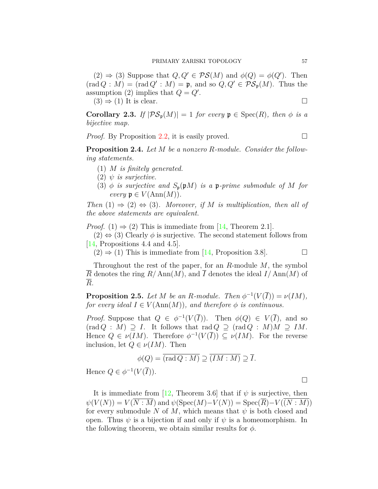$(2) \Rightarrow (3)$  Suppose that  $Q, Q' \in \mathcal{PS}(M)$  and  $\phi(Q) = \phi(Q')$ . Then  $(\text{rad } Q : M) = (\text{rad } Q' : M) = \mathfrak{p}, \text{ and so } Q, Q' \in \mathcal{PS}_{\mathfrak{p}}(M).$  Thus the assumption (2) implies that  $Q = Q'$ .

 $(3) \Rightarrow (1)$  It is clear.

**Corollary 2.3.** *If*  $|\mathcal{PS}_p(M)| = 1$  *for every*  $p \in \text{Spec}(R)$ *, then*  $\phi$  *is a bijective map.*

*Proof.* By Proposition [2.2,](#page-3-0) it is easily proved.  $\Box$ 

<span id="page-4-1"></span>**Proposition 2.4.** *Let M be a nonzero R-module. Consider the following statements.*

- (1) *M is finitely generated.*
- (2) *ψ is surjective.*
- (3)  $\phi$  *is surjective and*  $S_p(pM)$  *is a* **p**-prime submodule of M for  $every \mathfrak{p} \in V(\text{Ann}(M)).$

*Then*  $(1) \Rightarrow (2) \Leftrightarrow (3)$ *. Moreover, if M is multiplication, then all of the above statements are equivalent.*

*Proof.* (1)  $\Rightarrow$  (2) This is immediate from [\[14](#page-14-15), Theorem 2.1].

 $(2) \Leftrightarrow (3)$  Clearly  $\phi$  is surjective. The second statement follows from [[14](#page-14-15), Propositions 4.4 and 4.5].

 $(2) \Rightarrow (1)$  This is immediate from [\[14](#page-14-15), Proposition 3.8].

Throughout the rest of the paper, for an *R*-module *M*, the symbol  $\overline{R}$  denotes the ring  $R/\text{Ann}(M)$ , and  $\overline{I}$  denotes the ideal  $I/\text{Ann}(M)$  of *R*.

<span id="page-4-0"></span>**Proposition 2.5.** *Let M be an R*-module. Then  $\phi^{-1}(V(\overline{I})) = \nu(IM)$ , *for every ideal*  $I \in V(\text{Ann}(M))$ *, and therefore*  $\phi$  *is continuous.* 

*Proof.* Suppose that  $Q \in \phi^{-1}(V(\overline{I}))$ . Then  $\phi(Q) \in V(\overline{I})$ , and so  $(\text{rad } Q : M) \supseteq I$ . It follows that  $\text{rad } Q \supseteq (\text{rad } Q : M)M \supseteq IM$ . Hence  $Q \in \nu(IM)$ . Therefore  $\phi^{-1}(V(\overline{I})) \subseteq \nu(IM)$ . For the reverse inclusion, let  $Q \in \nu(IM)$ . Then

$$
\phi(Q) = \overline{(\text{rad }Q : M)} \supseteq \overline{(IM : M)} \supseteq \overline{I}.
$$
  

$$
(\overline{V(\overline{I})})
$$

Hence  $Q \in \phi^{-1}(V(\overline{I})).$ 

It is immediate from [[12](#page-14-8), Theorem 3.6] that if  $\psi$  is surjective, then  $\psi(V(N)) = V(\overline{N:M})$  and  $\psi(\text{Spec}(M) - V(N)) = \text{Spec}(\overline{R}) - V((N:M))$ for every submodule *N* of *M*, which means that  $\psi$  is both closed and open. Thus  $\psi$  is a bijection if and only if  $\psi$  is a homeomorphism. In the following theorem, we obtain similar results for *ϕ*.

□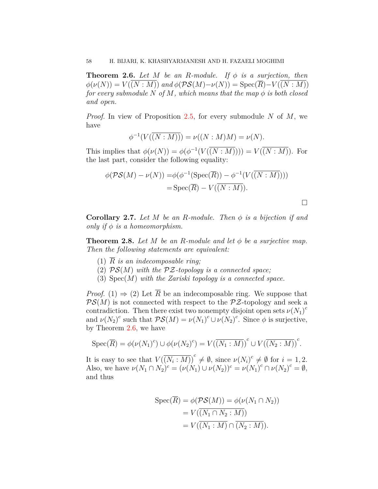<span id="page-5-0"></span>**Theorem 2.6.** *Let*  $M$  *be an*  $R$ *-module. If*  $\phi$  *is a surjection, then*  $\phi(\nu(N)) = V((N : M))$  *and*  $\phi(\mathcal{PS}(M) - \nu(N)) = \text{Spec}(R) - V((N : M))$ *for every submodule*  $N$  *of*  $M$ *, which means that the map*  $\phi$  *is both closed and open.*

*Proof.* In view of Proposition [2.5](#page-4-0), for every submodule *N* of *M*, we have

$$
\phi^{-1}(V(\overline{(N:M))}) = \nu((N:M)M) = \nu(N).
$$

This implies that  $\phi(\nu(N)) = \phi(\phi^{-1}(V(\overline{(N:M)}))) = V(\overline{(N:M)})$ . For the last part, consider the following equality:

$$
\phi(\mathcal{PS}(M) - \nu(N)) = \phi(\phi^{-1}(\operatorname{Spec}(\overline{R})) - \phi^{-1}(V(\overline{(N:M)})))
$$
  
= Spec( $\overline{R}$ ) - V( $\overline{(N:M)}$ ).

<span id="page-5-1"></span>**Corollary 2.7.** Let  $M$  be an  $R$ -module. Then  $\phi$  is a bijection if and *only if*  $\phi$  *is a homeomorphism.* 

**Theorem 2.8.** Let  $M$  be an  $R$ -module and let  $\phi$  be a surjective map. *Then the following statements are equivalent:*

- (1)  $\overline{R}$  *is an indecomposable ring*;
- (2) *PS*(*M*) *with the PZ-topology is a connected space;*
- (3) Spec(*M*) *with the Zariski topology is a connected space.*

*Proof.* (1)  $\Rightarrow$  (2) Let  $\overline{R}$  be an indecomposable ring. We suppose that  $PS(M)$  is not connected with respect to the  $P\mathcal{Z}$ -topology and seek a contradiction. Then there exist two nonempty disjoint open sets  $\nu(N_1)^c$ and  $\nu(N_2)^c$  such that  $\mathcal{PS}(M) = \nu(N_1)^c \cup \nu(N_2)^c$ . Since  $\phi$  is surjective, by Theorem [2.6](#page-5-0), we have

$$
\operatorname{Spec}(\overline{R}) = \phi(\nu(N_1)^c) \cup \phi(\nu(N_2)^c) = V(\overline{(N_1 : M)})^c \cup V(\overline{(N_2 : M)})^c.
$$

It is easy to see that  $V(\overline{(N_i : M)})^c \neq \emptyset$ , since  $\nu(N_i)^c \neq \emptyset$  for  $i = 1, 2$ . Also, we have  $\nu(N_1 \cap N_2)^c = (\nu(N_1) \cup \nu(N_2))^c = \nu(N_1)^c \cap \nu(N_2)^c = \emptyset$ , and thus

$$
Spec(\overline{R}) = \phi(\mathcal{PS}(M)) = \phi(\nu(N_1 \cap N_2))
$$
  
=  $V((\overline{(N_1 \cap N_2 : M)})$   
=  $V((\overline{(N_1 : M)} \cap \overline{(N_2 : M)})).$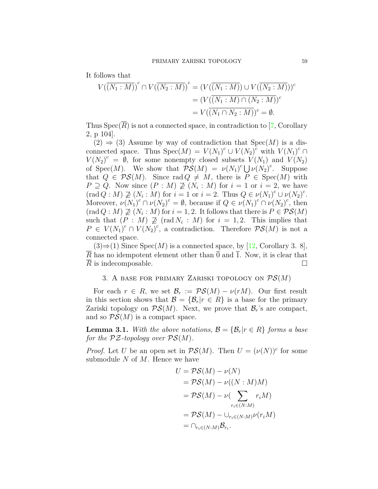It follows that

$$
V(\overline{(N_1: M)})^c \cap V(\overline{(N_2: M)})^c = (V(\overline{(N_1: M)}) \cup V(\overline{(N_2: M)}))^c
$$
  

$$
= (V(\overline{(N_1: M) \cap (N_2: M)})^c
$$
  

$$
= V(\overline{(N_1 \cap N_2: M)})^c = \emptyset.
$$

Thus  $Spec(\overline{R})$  is not a connected space, in contradiction to [\[7](#page-14-1), Corollary 2, p 104].

 $(2) \Rightarrow (3)$  Assume by way of contradiction that  $Spec(M)$  is a disconnected space. Thus  $Spec(M) = V(N_1)^c \cup V(N_2)^c$  with  $V(N_1)^c \cap$  $V(N_2)^c = \hat{\emptyset}$ , for some nonempty closed subsets  $V(N_1)$  and  $V(N_2)$ of  $Spec(M)$ . We show that  $PS(M) = \nu(N_1)^c \bigcup \nu(N_2)^c$ . Suppose that  $Q \in \mathcal{PS}(M)$ . Since rad  $Q \neq M$ , there is  $P \in \text{Spec}(M)$  with  $P \supseteq Q$ . Now since  $(P : M) \not\supseteq (N_i : M)$  for  $i = 1$  or  $i = 2$ , we have  $(\text{rad } Q : M) \not\supseteq (N_i : M) \text{ for } i = 1 \text{ or } i = 2. \text{ Thus } Q \in \nu(N_1)^c \cup \nu(N_2)^c$ . Moreover,  $\nu(N_1)^c \cap \nu(N_2)^c = \emptyset$ , because if  $Q \in \nu(N_1)^c \cap \nu(N_2)^c$ , then  $(\text{rad } Q : M) \not\supseteq (N_i : M)$  for  $i = 1, 2$ . It follows that there is  $P \in \mathcal{PS}(M)$ such that  $(P : M) \not\supseteq (rad N_i : M)$  for  $i = 1, 2$ . This implies that  $P \in V(N_1)^c \cap V(N_2)^c$ , a contradiction. Therefore  $\mathcal{PS}(M)$  is not a connected space.

 $(3) \Rightarrow (1)$  Since Spec $(M)$  is a connected space, by [\[12,](#page-14-8) Corollary 3. 8],  $\overline{R}$  has no idempotent element other than  $\overline{0}$  and  $\overline{1}$ . Now, it is clear that *R* is indecomposable.  $\Box$ 

# 3. A base for primary Zariski topology on *PS*(*M*)

For each  $r \in R$ , we set  $\mathcal{B}_r := \mathcal{PS}(M) - \nu(rM)$ . Our first result in this section shows that  $\mathcal{B} = {\mathcal{B}_r | r \in R}$  is a base for the primary Zariski topology on  $\mathcal{PS}(M)$ . Next, we prove that  $\mathcal{B}_r$ 's are compact, and so  $PS(M)$  is a compact space.

<span id="page-6-0"></span>**Lemma 3.1.** With the above notations,  $\mathcal{B} = \{ \mathcal{B}_r | r \in R \}$  forms a base *for the*  $PZ$ *-topology over*  $PS(M)$ *.* 

*Proof.* Let *U* be an open set in  $\mathcal{PS}(M)$ . Then  $U = (\nu(N))^c$  for some submodule *N* of *M*. Hence we have

$$
U = \mathcal{PS}(M) - \nu(N)
$$
  
=  $\mathcal{PS}(M) - \nu((N : M)M)$   
=  $\mathcal{PS}(M) - \nu\left(\sum_{r_i \in (N:M)} r_i M\right)$   
=  $\mathcal{PS}(M) - \bigcup_{r_i \in (N:M)} \nu(r_i M)$   
=  $\bigcap_{r_i \in (N:M)} \mathcal{B}_{r_i}.$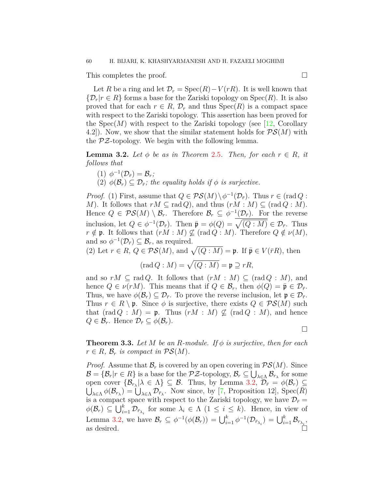This completes the proof. □

Let *R* be a ring and let  $\mathcal{D}_r = \text{Spec}(R) - V(rR)$ . It is well known that  $\{\mathcal{D}_r | r \in R\}$  forms a base for the Zariski topology on Spec(*R*). It is also proved that for each  $r \in R$ ,  $\mathcal{D}_r$  and thus  $Spec(R)$  is a compact space with respect to the Zariski topology. This assertion has been proved for the  $Spec(M)$  with respect to the Zariski topology (see [[12](#page-14-8), Corollary 4.2.). Now, we show that the similar statement holds for  $\mathcal{PS}(M)$  with the *PZ*-topology. We begin with the following lemma.

<span id="page-7-1"></span>**Lemma 3.2.** Let  $\phi$  be as in Theorem [2.5](#page-4-0). Then, for each  $r \in R$ , it *follows that*

- $(1) \phi^{-1}(\mathcal{D}_{\bar{r}}) = \mathcal{B}_{r}$ ;
- (2)  $\phi(\mathcal{B}_r) \subseteq \mathcal{D}_{\bar{r}}$ ; the equality holds if  $\phi$  is surjective.

*Proof.* (1) First, assume that  $Q \in \mathcal{PS}(M) \setminus \phi^{-1}(\mathcal{D}_{\bar{r}})$ . Thus  $r \in (\text{rad } Q :$ *M*). It follows that  $rM \subseteq \text{rad } Q$ , and thus  $(rM : M) \subseteq (\text{rad } Q : M)$ . Hence  $Q \in \mathcal{PS}(M) \setminus \mathcal{B}_r$ . Therefore  $\mathcal{B}_r \subseteq \phi^{-1}(\mathcal{D}_{\bar{r}})$ . For the reverse inclusion, let  $Q \in \phi^{-1}(\mathcal{D}_{\bar{r}})$ . Then  $\bar{\mathfrak{p}} = \phi(Q) = \sqrt{(Q : M)} \in \mathcal{D}_{\bar{r}}$ . Thus  $r \notin \mathfrak{p}$ . It follows that  $(rM : M) \nsubseteq (\text{rad } Q : M)$ . Therefore  $Q \notin \nu(M)$ , and so  $\phi^{-1}(\mathcal{D}_{\bar{r}}) \subseteq \mathcal{B}_r$ , as required.

(2) Let  $r \in R$ ,  $Q \in \mathcal{PS}(M)$ , and  $\sqrt{(Q:M)} = \mathfrak{p}$ . If  $\bar{\mathfrak{p}} \in V(\bar{r}R)$ , then

$$
(\mathrm{rad}\,Q:M)=\sqrt{(Q:M)}=\mathfrak{p}\supseteq rR,
$$

and so  $rM \subseteq \text{rad } Q$ . It follows that  $(rM : M) \subseteq (\text{rad } Q : M)$ , and hence  $Q \in \nu(rM)$ . This means that if  $Q \in \mathcal{B}_r$ , then  $\phi(Q) = \bar{\mathfrak{p}} \in \mathcal{D}_{\bar{r}}$ . Thus, we have  $\phi(\mathcal{B}_r) \subseteq \mathcal{D}_{\bar{r}}$ . To prove the reverse inclusion, let  $\mathfrak{p} \in \mathcal{D}_{\bar{r}}$ . Thus  $r \in R \setminus \mathfrak{p}$ . Since  $\phi$  is surjective, there exists  $Q \in \mathcal{PS}(M)$  such that  $(\text{rad } Q : M) = \mathfrak{p}$ . Thus  $(rM : M) \not\subset (\text{rad } Q : M)$ , and hence  $Q \in \mathcal{B}_r$ . Hence  $\mathcal{D}_{\bar{r}} \subseteq \phi(\mathcal{B}_r)$ .

<span id="page-7-0"></span>**Theorem 3.3.** Let  $M$  be an  $R$ -module. If  $\phi$  is surjective, then for each  $r \in R$ *,*  $\mathcal{B}_r$  *is compact in*  $\mathcal{PS}(M)$ *.* 

*Proof.* Assume that  $\mathcal{B}_r$  is covered by an open covering in  $\mathcal{PS}(M)$ . Since  $\mathcal{B} = {\mathcal{B}_r | r \in R}$  is a base for the *PZ*-topology,  $\mathcal{B}_r \subseteq \bigcup_{\lambda \in \Lambda} \mathcal{B}_{r_{\lambda}}$  for some open cover  $\{\mathcal{B}_{r_{\lambda}} | \lambda \in \Lambda\} \subseteq \mathcal{B}$ . Thus, by Lemma [3.2,](#page-7-1)  $\mathcal{D}_{\bar{r}} = \phi(\mathcal{B}_r) \subseteq$  $\overline{\bigcup}_{\lambda \in \Lambda} \phi(\mathcal{B}_{r_{\lambda}}) = \overline{\bigcup}_{\lambda \in \Lambda} \mathcal{D}_{\overline{r}_{\lambda}}$ . Now since, by [\[7](#page-14-1), Proposition 12], Spec( $\overline{R}$ ) is a compact space with respect to the Zariski topology, we have  $\mathcal{D}_{\bar{r}}=$  $\phi(\mathcal{B}_r) \subseteq \bigcup_{i=1}^k \mathcal{D}_{\bar{r}_{\lambda_i}}$  for some  $\lambda_i \in \Lambda$  (1  $\leq i \leq k$ ). Hence, in view of Lemma [3.2,](#page-7-1) we have  $\mathcal{B}_r \subseteq \phi^{-1}(\phi(\mathcal{B}_r)) = \bigcup_{i=1}^k \phi^{-1}(\mathcal{D}_{\bar{r}_{\lambda_i}}) = \bigcup_{i=1}^k \mathcal{B}_{r_{\lambda_i}},$ as desired.  $\Box$ 

□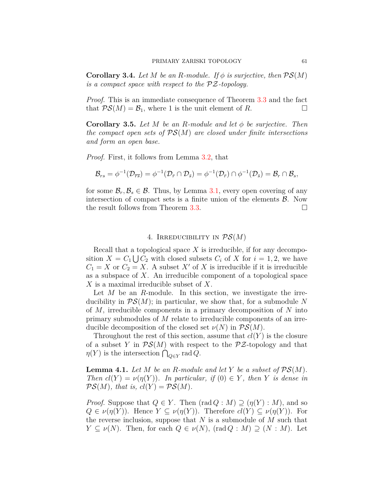<span id="page-8-0"></span>**Corollary 3.4.** *Let*  $M$  *be an*  $R$ *-module. If*  $\phi$  *is surjective, then*  $PS(M)$ *is a compact space with respect to the PZ-topology.*

*Proof.* This is an immediate consequence of Theorem [3.3](#page-7-0) and the fact that  $\mathcal{PS}(M) = \mathcal{B}_1$ , where 1 is the unit element of *R*. □

<span id="page-8-2"></span>**Corollary 3.5.** *Let M be an R-module and let ϕ be surjective. Then the compact open sets of PS*(*M*) *are closed under finite intersections and form an open base.*

*Proof.* First, it follows from Lemma [3.2,](#page-7-1) that

$$
\mathcal{B}_{rs}=\phi^{-1}(\mathcal{D}_{\overline{rs}})=\phi^{-1}(\mathcal{D}_{\overline{r}}\cap\mathcal{D}_{\overline{s}})=\phi^{-1}(\mathcal{D}_{\overline{r}})\cap\phi^{-1}(\mathcal{D}_{\overline{s}})=\mathcal{B}_r\cap\mathcal{B}_s,
$$

for some  $\mathcal{B}_r, \mathcal{B}_s \in \mathcal{B}$ . Thus, by Lemma [3.1](#page-6-0), every open covering of any intersection of compact sets is a finite union of the elements *B*. Now the result follows from Theorem [3.3.](#page-7-0)  $\Box$ 

### 4. Irreducibility in *PS*(*M*)

Recall that a topological space *X* is irreducible, if for any decomposition  $X = C_1 \bigcup C_2$  with closed subsets  $C_i$  of  $X$  for  $i = 1, 2$ , we have  $C_1 = X$  or  $C_2 = X$ . A subset  $X'$  of  $X$  is irreducible if it is irreducible as a subspace of *X*. An irreducible component of a topological space *X* is a maximal irreducible subset of *X*.

Let *M* be an *R*-module. In this section, we investigate the irreducibility in  $\mathcal{PS}(M)$ ; in particular, we show that, for a submodule N of *M*, irreducible components in a primary decomposition of *N* into primary submodules of *M* relate to irreducible components of an irreducible decomposition of the closed set  $\nu(N)$  in  $\mathcal{PS}(M)$ .

Throughout the rest of this section, assume that  $cl(Y)$  is the closure of a subset *Y* in  $\mathcal{PS}(M)$  with respect to the  $\mathcal{PZ}$ -topology and that *n*(*Y*) is the intersection  $\bigcap_{Q \in Y} \text{rad } Q$ .

<span id="page-8-1"></span>**Lemma 4.1.** Let  $M$  be an  $R$ -module and let  $Y$  be a subset of  $\mathcal{PS}(M)$ . *Then*  $cl(Y) = \nu(\eta(Y))$ *. In particular, if*  $(0) \in Y$ *, then Y is dense in*  $\mathcal{PS}(M)$ *, that is,*  $cl(Y) = \mathcal{PS}(M)$ *.* 

*Proof.* Suppose that  $Q \in Y$ . Then  $(\text{rad } Q : M) \supseteq (\eta(Y) : M)$ , and so  $Q \in \nu(\eta(Y))$ . Hence  $Y \subseteq \nu(\eta(Y))$ . Therefore  $cl(Y) \subseteq \nu(\eta(Y))$ . For the reverse inclusion, suppose that *N* is a submodule of *M* such that  $Y \subseteq \nu(N)$ . Then, for each  $Q \in \nu(N)$ , (rad  $Q : M \supset (N : M)$ ). Let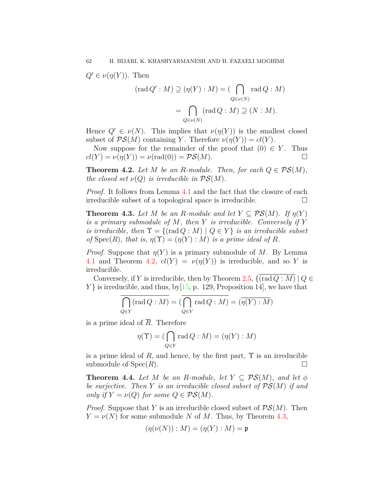$Q' \in \nu(\eta(Y))$ . Then

$$
(\operatorname{rad} Q': M) \supseteq (\eta(Y) : M) = (\bigcap_{Q \in \nu(N)} \operatorname{rad} Q : M)
$$

$$
= \bigcap_{Q \in \nu(N)} (\operatorname{rad} Q : M) \supseteq (N : M).
$$

Hence  $Q' \in \nu(N)$ . This implies that  $\nu(\eta(Y))$  is the smallest closed subset of  $\mathcal{PS}(M)$  containing *Y*. Therefore  $\nu(\eta(Y)) = cl(Y)$ .

Now suppose for the remainder of the proof that  $(0) \in Y$ . Thus  $cl(Y) = \nu(\eta(Y)) = \nu(\text{rad}(0)) = \mathcal{PS}(M).$ 

<span id="page-9-0"></span>**Theorem 4.2.** *Let*  $M$  *be an*  $R$ *-module. Then, for each*  $Q \in \mathcal{PS}(M)$ *, the closed set*  $\nu(Q)$  *is irreducible in*  $\mathcal{PS}(M)$ *.* 

*Proof.* It follows from Lemma [4.1](#page-8-1) and the fact that the closure of each irreducible subset of a topological space is irreducible.  $\Box$ 

<span id="page-9-1"></span>**Theorem 4.3.** *Let M be an R-module and let*  $Y \subseteq PS(M)$ *. If*  $\eta(Y)$ *is a primary submodule of M, then Y is irreducible. Conversely if Y is irreducible, then*  $\Upsilon = \{(\text{rad } Q : M) \mid Q \in Y\}$  *is an irreducible subset of*  $Spec(R)$ *, that is,*  $\eta(\Upsilon) = (\eta(Y) : M)$  *is a prime ideal of R.* 

*Proof.* Suppose that  $\eta(Y)$  is a primary submodule of M. By Lemma [4.1](#page-8-1) and Theorem [4.2](#page-9-0),  $cl(Y) = \nu(\eta(Y))$  is irreducible, and so *Y* is irreducible.

Conversely, if *Y* is irreducible, then by Theorem [2.5](#page-4-0),  $\{(\text{rad }Q : M) | Q \in$  $Y\}$  is irreducible, and thus, by  $[15, p. 129,$  $[15, p. 129,$  Proposition 14, we have that

$$
\overline{\bigcap_{Q\in Y} (\text{rad }Q:M)} = (\overline{\bigcap_{Q\in Y} \text{rad }Q:M)} = (\overline{\eta(Y):M})
$$

is a prime ideal of  $\overline{R}$ . Therefore

$$
\eta(\Upsilon) = (\bigcap_{Q \in Y} \text{rad } Q : M) = (\eta(Y) : M)
$$

is a prime ideal of  $R$ , and hence, by the first part,  $\Upsilon$  is an irreducible submodule of  $Spec(R)$ .

<span id="page-9-2"></span>**Theorem 4.4.** Let *M* be an *R*-module, let  $Y \subseteq PS(M)$ , and let  $\phi$ *be surjective. Then Y is an irreducible closed subset of PS*(*M*) *if and only if*  $Y = \nu(Q)$  *for some*  $Q \in \mathcal{PS}(M)$ *.* 

*Proof.* Suppose that *Y* is an irreducible closed subset of *PS*(*M*). Then  $Y = \nu(N)$  for some submodule *N* of *M*. Thus, by Theorem [4.3](#page-9-1),

$$
(\eta(\nu(N)):M)=(\eta(Y):M)=\mathfrak{p}
$$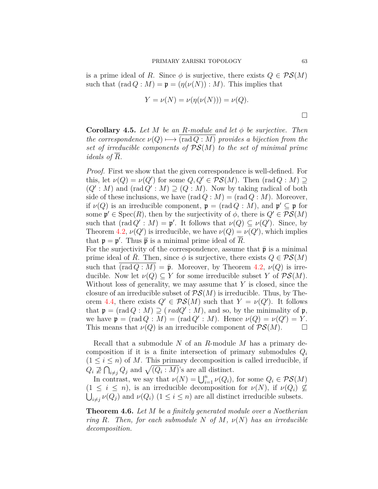is a prime ideal of *R*. Since  $\phi$  is surjective, there exists  $Q \in \mathcal{PS}(M)$ such that  $(\text{rad } Q : M) = \mathfrak{p} = (\eta(\nu(N)) : M)$ . This implies that

$$
Y = \nu(N) = \nu(\eta(\nu(N))) = \nu(Q).
$$

□

<span id="page-10-0"></span>**Corollary 4.5.** *Let M be an R-module and let ϕ be surjective. Then the correspondence*  $\nu(Q) \rightarrow \text{(rad } Q : M)$  *provides a bijection from the set of irreducible components of PS*(*M*) *to the set of minimal prime ideals of R.*

*Proof.* First we show that the given correspondence is well-defined. For this, let  $\nu(Q) = \nu(Q')$  for some  $Q, Q' \in \mathcal{PS}(M)$ . Then  $(\text{rad } Q : M) \supseteq$  $(Q' : M)$  and  $(\text{rad } Q' : M) \supseteq (Q : M)$ . Now by taking radical of both side of these inclusions, we have  $(\text{rad } Q : M) = (\text{rad } Q : M)$ . Moreover, if  $\nu(Q)$  is an irreducible component,  $\mathfrak{p} = (\text{rad } Q : M)$ , and  $\mathfrak{p}' \subseteq \mathfrak{p}$  for some  $\mathfrak{p}' \in \text{Spec}(R)$ , then by the surjectivity of  $\phi$ , there is  $Q' \in \mathcal{PS}(M)$ such that  $(\text{rad } Q' : M) = \mathfrak{p}'$ . It follows that  $\nu(Q) \subseteq \nu(Q')$ . Since, by Theorem [4.2](#page-9-0),  $\nu(Q')$  is irreducible, we have  $\nu(Q) = \nu(Q')$ , which implies that  $\mathfrak{p} = \mathfrak{p}'$ . Thus  $\bar{\mathfrak{p}}$  is a minimal prime ideal of  $\bar{R}$ .

For the surjectivity of the correspondence, assume that  $\bar{p}$  is a minimal prime ideal of *R*. Then, since  $\phi$  is surjective, there exists  $Q \in \mathcal{PS}(M)$ such that  $\overline{(rad Q : M)} = \overline{\mathfrak{p}}$ . Moreover, by Theorem [4.2](#page-9-0),  $\nu(Q)$  is irreducible. Now let  $\nu(Q) \subseteq Y$  for some irreducible subset *Y* of  $\mathcal{PS}(M)$ . Without loss of generality, we may assume that *Y* is closed, since the closure of an irreducible subset of  $\mathcal{PS}(M)$  is irreducible. Thus, by The-orem [4.4,](#page-9-2) there exists  $Q' \in \mathcal{PS}(M)$  such that  $Y = \nu(Q')$ . It follows that  $\mathfrak{p} = (\text{rad } Q : M) \supseteq ( \text{rad } Q' : M ),$  and so, by the minimality of  $\mathfrak{p}$ , we have  $\mathfrak{p} = (\text{rad } Q : M) = (\text{rad } Q' : M)$ . Hence  $\nu(Q) = \nu(Q') = Y$ . This means that  $\nu(Q)$  is an irreducible component of  $\mathcal{PS}(M)$ .  $\Box$ 

Recall that a submodule *N* of an *R*-module *M* has a primary decomposition if it is a finite intersection of primary submodules  $Q_i$  $(1 \leq i \leq n)$  of M. This primary decomposition is called irreducible, if  $Q_i \not\supseteq \bigcap_{i \neq j} Q_j$  and  $\sqrt{(Q_i : M)}$ 's are all distinct.

In contrast, we say that  $\nu(N) = \bigcup_{i=1}^{n} \nu(Q_i)$ , for some  $Q_i \in \mathcal{PS}(M)$  $(1 \leq i \leq n)$ , is an irreducible decomposition for  $\nu(N)$ , if  $\nu(Q_i) \nsubseteq$  $\bigcup_{i \neq j} \nu(Q_j)$  and  $\nu(Q_i)$  (1  $\leq i \leq n$ ) are all distinct irreducible subsets.

<span id="page-10-1"></span>**Theorem 4.6.** *Let M be a finitely generated module over a Noetherian ring R.* Then, for each submodule *N* of *M*,  $\nu(N)$  has an irreducible *decomposition.*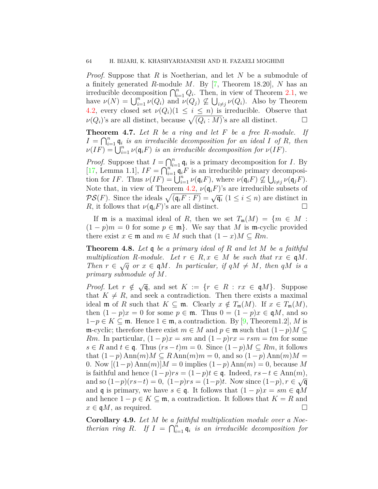*Proof.* Suppose that *R* is Noetherian, and let *N* be a submodule of a finitely generated *R*-module *M*. By[[7,](#page-14-1) Theorem 18.20], *N* has an irreducible decomposition  $\bigcap_{i=1}^{n} Q_i$ . Then, in view of Theorem [2.1](#page-2-0), we have  $\nu(N) = \bigcup_{i=1}^n \nu(Q_i)$  and  $\nu(Q_j) \not\subseteq \bigcup_{i \neq j} \nu(Q_i)$ . Also by Theorem [4.2](#page-9-0), every closed set  $\nu(Q_i)(1 \leq i \leq n)$  is irreducible. Observe that  $\nu(Q_i)$ 's are all distinct, because  $\sqrt{(Q_i : M)}$ 's are all distinct. □

**Theorem 4.7.** *Let R be a ring and let F be a free R-module. If*  $I = \bigcap_{i=1}^n \mathfrak{q}_i$  *is an irreducible decomposition for an ideal I of R, then*  $\nu(IF) = \bigcup_{i=1}^{n} \nu(\mathfrak{q}_i F)$  *is an irreducible decomposition for*  $\nu(IF)$ *.* 

*Proof.* Suppose that  $I = \bigcap_{i=1}^{n} q_i$  is a primary decomposition for *I*. By [[17](#page-14-17), Lemma 1.1],  $IF = \bigcap_{i=1}^{n} q_i F$  is an irreducible primary decomposition for *IF*. Thus  $\nu(IF) = \bigcup_{i=1}^n \nu(\mathfrak{q}_i F)$ , where  $\nu(\mathfrak{q}_i F) \nsubseteq \bigcup_{i \neq j} \nu(\mathfrak{q}_j F)$ . Note that, in view of Theorem [4.2](#page-9-0),  $\nu(\mathfrak{q}_i F)$ 's are irreducible subsets of *PS*(*F*). Since the ideals  $\sqrt{(q_i F : F)} = \sqrt{q_i}$  (1 ≤ *i* ≤ *n*) are distinct in *R*, it follows that  $\nu(\mathfrak{q}_i F)$ 's are all distinct. □

If **m** is a maximal ideal of *R*, then we set  $T_m(M) = \{m \in M :$  $(1-p)m = 0$  for some  $p \in \mathfrak{m}$ . We say that *M* is m-cyclic provided there exist  $x \in \mathfrak{m}$  and  $m \in M$  such that  $(1-x)M \subseteq Rm$ .

<span id="page-11-0"></span>**Theorem 4.8.** *Let* q *be a primary ideal of R and let M be a faithful multiplication R-module. Let*  $r \in R$ ,  $x \in M$  *be such that*  $rx \in \mathfrak{q}M$ . *Then*  $r \in \sqrt{q}$  or  $x \in \mathfrak{q}M$ . In particular, if  $qM \neq M$ , then  $qM$  is a *primary submodule of M.*

*Proof.* Let  $r \notin \sqrt{\mathfrak{q}}$ , and set  $K := \{r \in R : rx \in \mathfrak{q}M\}$ . Suppose that  $K \neq R$ , and seek a contradiction. Then there exists a maximal ideal **m** of *R* such that  $K \subseteq \mathfrak{m}$ . Clearly  $x \notin T_{\mathfrak{m}}(M)$ . If  $x \in T_{\mathfrak{m}}(M)$ , then  $(1 - p)x = 0$  for some  $p \in \mathfrak{m}$ . Thus  $0 = (1 - p)x \in \mathfrak{q}M$ , and so 1*−p ∈ K ⊆* m. Hence 1 *∈* m, a contradiction. By [\[9,](#page-14-10) Theorem1.2], *M* is m-cyclic; therefore there exist  $m \in M$  and  $p \in \mathfrak{m}$  such that  $(1-p)M \subseteq$ *Rm*. In particular,  $(1-p)x = sm$  and  $(1-p)rx = rsm = tm$  for some  $s \in R$  and  $t \in \mathfrak{q}$ . Thus  $(rs - t)m = 0$ . Since  $(1 - p)M \subseteq Rm$ , it follows that  $(1-p)$  Ann $(m)M \subseteq R$  Ann $(m)m = 0$ , and so  $(1-p)$  Ann $(m)M =$ 0. Now  $[(1-p) \text{Ann}(m)]$ *M* = 0 implies  $(1-p) \text{Ann}(m) = 0$ , because *M* is faithful and hence (1*−p*)*rs* = (1*−p*)*t ∈* q. Indeed, *rs−t ∈* Ann(*m*),  $\alpha$  and so  $(1-p)(rs-t) = 0$ ,  $(1-p)rs = (1-p)t$ . Now since  $(1-p), r \in \sqrt{q}$ and **q** is primary, we have  $s \in \mathfrak{q}$ . It follows that  $(1 - p)x = sm \in \mathfrak{q}M$ and hence  $1 - p \in K \subseteq \mathfrak{m}$ , a contradiction. It follows that  $K = R$  and  $x \in \mathfrak{q}M$ , as required.

**Corollary 4.9.** *Let M be a faithful multiplication module over a Noetherian ring R.* If  $I = \bigcap_{i=1}^{n} q_i$  *is an irreducible decomposition for*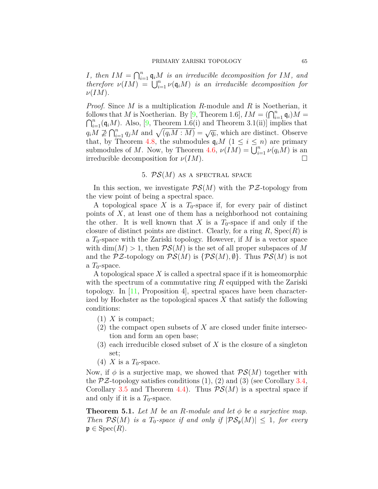*I*<sup>*,*</sup> then  $IM = \bigcap_{i=1}^{n} q_i M$  *is an irreducible decomposition for*  $IM$ *, and therefore*  $\nu(\overline{IM}) = \bigcup_{i=1}^{n} \nu(\mathfrak{q}_iM)$  *is an irreducible decomposition for ν*(*IM*)*.*

*Proof.* Since *M* is a multiplication *R*-module and *R* is Noetherian, it follows that *M* is Noetherian. By [\[9](#page-14-10), Theorem 1.6],  $IM = (\bigcap_{i=1}^{n} \mathfrak{q}_i)M = \bigcap_{i=1}^{n} (\mathfrak{q}_i)M$ . Also, [9, Theorem 1.6(i) and Theorem 3.1(ii)] implies that  $\bigcap_{i=1}^n (\mathfrak{q}_i M)$ . Also, [[9](#page-14-10), Theorem 1.6(i) and Theorem 3.1(ii)] implies that  $q_i M \nsubseteq \bigcap_{i=1}^n q_j M$  and  $\sqrt{(q_i M : M)} = \sqrt{q_i}$ , which are distinct. Observe that, by Theorem [4.8,](#page-11-0) the submodules  $\mathfrak{q}_i M$  ( $1 \leq i \leq n$ ) are primary submodules of *M*. Now, by Theorem [4.6](#page-10-1),  $\nu(\hat{I}M) = \bigcup_{i=1}^{n} \nu(q_iM)$  is an irreducible decomposition for  $\nu(IM)$ .

# 5. *PS*(*M*) as a spectral space

In this section, we investigate  $PS(M)$  with the  $P\mathcal{Z}$ -topology from the view point of being a spectral space.

A topological space X is a  $T_0$ -space if, for every pair of distinct points of *X*, at least one of them has a neighborhood not containing the other. It is well known that *X* is a  $T_0$ -space if and only if the closure of distinct points are distinct. Clearly, for a ring  $R$ ,  $Spec(R)$  is a  $T_0$ -space with the Zariski topology. However, if  $M$  is a vector space with  $\dim(M) > 1$ , then  $\mathcal{PS}(M)$  is the set of all proper subspaces of M and the  $\mathcal{PZ}$ -topology on  $\mathcal{PS}(M)$  is  $\{\mathcal{PS}(M),\emptyset\}$ . Thus  $\mathcal{PS}(M)$  is not a  $T_0$ -space.

A topological space *X* is called a spectral space if it is homeomorphic with the spectrum of a commutative ring *R* equipped with the Zariski topology.In  $[11,$  $[11,$  Proposition 4, spectral spaces have been characterized by Hochster as the topological spaces *X* that satisfy the following conditions:

- $(1)$  *X* is compact;
- (2) the compact open subsets of *X* are closed under finite intersection and form an open base;
- (3) each irreducible closed subset of *X* is the closure of a singleton set;
- (4) *X* is a  $T_0$ -space.

Now, if  $\phi$  is a surjective map, we showed that  $\mathcal{PS}(M)$  together with the  $\mathcal{PZ}$ -topology satisfies conditions (1), (2) and (3) (see Corollary [3.4,](#page-8-0) Corollary [3.5](#page-8-2) and Theorem [4.4\)](#page-9-2). Thus *PS*(*M*) is a spectral space if and only if it is a  $T_0$ -space.

<span id="page-12-0"></span>**Theorem 5.1.** *Let M be an R-module and let ϕ be a surjective map. Then*  $\mathcal{PS}(M)$  *is a*  $T_0$ -space if and only if  $|\mathcal{PS}_p(M)| \leq 1$ , for every  $\mathfrak{p} \in \text{Spec}(R)$ .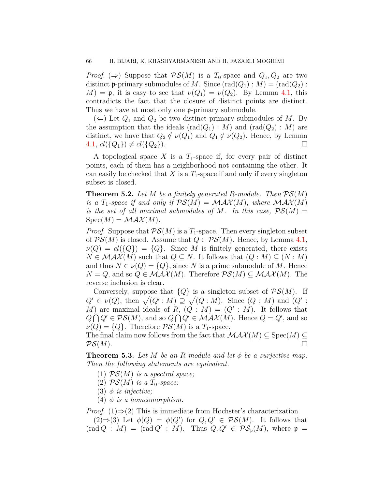*Proof.* ( $\Rightarrow$ ) Suppose that  $\mathcal{PS}(M)$  is a  $T_0$ -space and  $Q_1, Q_2$  are two distinct **p**-primary submodules of *M*. Since  $(\text{rad}(Q_1) : M) = (\text{rad}(Q_2) :$  $M$ ) = **p**, it is easy to see that  $\nu(Q_1) = \nu(Q_2)$ . By Lemma [4.1,](#page-8-1) this contradicts the fact that the closure of distinct points are distinct. Thus we have at most only one **p**-primary submodule.

 $(\Leftarrow)$  Let  $Q_1$  and  $Q_2$  be two distinct primary submodules of M. By the assumption that the ideals  $(\text{rad}(Q_1) : M)$  and  $(\text{rad}(Q_2) : M)$  are distinct, we have that  $Q_2 \notin \nu(Q_1)$  and  $Q_1 \notin \nu(Q_2)$ . Hence, by Lemma  $4.1, \, cl(\lbrace Q_1 \rbrace) \neq cl(\lbrace Q_2 \rbrace).$  $4.1, \, cl(\lbrace Q_1 \rbrace) \neq cl(\lbrace Q_2 \rbrace).$ 

A topological space *X* is a *T*1-space if, for every pair of distinct points, each of them has a neighborhood not containing the other. It can easily be checked that *X* is a  $T_1$ -space if and only if every singleton subset is closed.

**Theorem 5.2.** Let  $M$  be a finitely generated  $R$ *-module. Then*  $PS(M)$ *is a*  $T_1$ -space if and only if  $PS(M) = MAX(M)$ , where  $MAX(M)$ *is the set of all maximal submodules of M. In this case,*  $\mathcal{PS}(M) =$  $Spec(M) = MAX(M)$ .

*Proof.* Suppose that  $PS(M)$  is a *T*<sub>1</sub>-space. Then every singleton subset of  $\mathcal{PS}(M)$  is closed. Assume that  $Q \in \mathcal{PS}(M)$ . Hence, by Lemma [4.1,](#page-8-1)  $\nu(Q) = cl({Q}) = {Q}.$  Since *M* is finitely generated, there exists  $N \in \mathcal{MAX}(M)$  such that  $Q \subseteq N$ . It follows that  $(Q : M) \subseteq (N : M)$ and thus  $N \in \nu(Q) = \{Q\}$ , since *N* is a prime submodule of *M*. Hence *N* = *Q*, and so  $Q$  ∈ *MAX*(*M*). Therefore  $PS(M) ⊆ MAX(M)$ . The reverse inclusion is clear.

Conversely, suppose that  ${Q}$  is a singleton subset of  $\mathcal{PS}(M)$ . If  $Q' \in \nu(Q)$ , then  $\sqrt{(Q' : M)} \supseteq \sqrt{(Q : M)}$ . Since  $(Q : M)$  and  $(Q' : M)$ *M*) are maximal ideals of *R*,  $(Q : M) = (Q' : M)$ . It follows that  $Q \cap Q' \in \mathcal{PS}(M)$ , and so  $Q \cap Q' \in \mathcal{MAX}(M)$ . Hence  $Q = Q'$ , and so  $\nu(Q) = \{Q\}$ . Therefore  $PS(M)$  is a *T*<sub>1</sub>-space.

The final claim now follows from the fact that  $\mathcal{MAX}(M) \subseteq \text{Spec}(M) \subseteq$  $\mathcal{PS}(M).$ 

<span id="page-13-0"></span>**Theorem 5.3.** Let M be an R-module and let  $\phi$  be a surjective map. *Then the following statements are equivalent.*

- (1) *PS*(*M*) *is a spectral space;*
- (2)  $PS(M)$  *is a*  $T_0$ -space;
- (3)  $\phi$  *is injective*;
- (4)  $\phi$  *is a homeomorphism.*

*Proof.* (1)⇒(2) This is immediate from Hochster's characterization.

(2)⇒(3) Let  $\phi(Q) = \phi(Q')$  for  $Q, Q' \in \mathcal{PS}(M)$ . It follows that  $(\text{rad } Q : M) = (\text{rad } Q' : M)$ . Thus  $Q, Q' \in \mathcal{PS}_{\mathfrak{p}}(M)$ , where  $\mathfrak{p} =$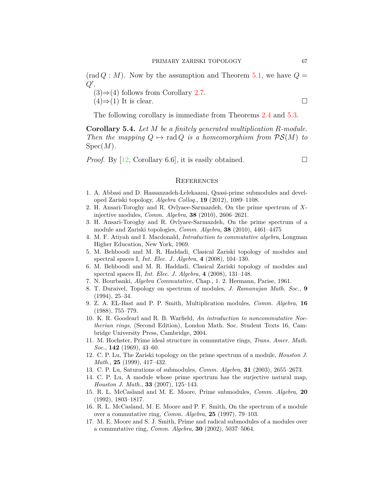$(\text{rad } Q : M)$ . Now by the assumption and Theorem [5.1,](#page-12-0) we have  $Q =$ *Q′* .

(3)*⇒*(4) follows from Corollary [2.7](#page-5-1).

 $(4) \Rightarrow (1)$  It is clear.

The following corollary is immediate from Theorems [2.4](#page-4-1) and [5.3.](#page-13-0)

<span id="page-14-14"></span>**Corollary 5.4.** *Let M be a finitely generated multiplication R-module. Then the mapping*  $Q \mapsto$  rad  $Q$  *is a homeomorphism from*  $\mathcal{PS}(M)$  *to* Spec(*M*)*.*

*Proof.* By [[12,](#page-14-8) Corollary 6.6], it is easily obtained.  $\Box$ 

#### **REFERENCES**

- <span id="page-14-3"></span>1. A. Abbasi and D. Hassanzadeh-Lelekaami, Quasi-prime submodules and developed Zariski topology, *Algebra Colloq.*, **19** (2012), 1089–1108.
- <span id="page-14-13"></span>2. H. Ansari-Toroghy and R. Ovlyaee-Sarmazdeh, On the prime spectrum of *X*injective modules, *Comm. Algebra*, **38** (2010), 2606–2621.
- <span id="page-14-4"></span>3. H. Ansari-Toroghy and R. Ovlyaee-Sarmazdeh, On the prime spectrum of a module and Zariski topologies, *Comm. Algebra*, **38** (2010), 4461–4475
- <span id="page-14-0"></span>4. M. F. Atiyah and I. Macdonald, *Introduction to commutative algebra*, Longman Higher Education, New York, 1969.
- <span id="page-14-5"></span>5. M. Behboodi and M. R. Haddadi, Clasical Zariski topology of modules and spectral spaces I, *Int. Elec. J. Algebra*, **4** (2008), 104–130.
- <span id="page-14-6"></span>6. M. Behboodi and M. R. Haddadi, Clasical Zariski topology of modules and spectral spaces II, *Int. Elec. J. Algebra*, **4** (2008), 131–148.
- <span id="page-14-1"></span>7. N. Bourbanki, *Algebra Commutative*, Chap., 1. 2. Hermann, Parise, 1961.
- <span id="page-14-7"></span>8. T. Duraivel, Topology on spectrum of modules, *J. Ramanujan Math. Soc.*, **9** (1994), 25–34.
- <span id="page-14-10"></span>9. Z. A. EL-Bast and P. P. Smith, Multiplication modules, *Comm. Algebra*, **16** (1988), 755–779.
- <span id="page-14-2"></span>10. K. R. Goodearl and R. B. Warfield, *An introduction to noncommutative Noetherian rings*, (Second Edition), London Math. Soc. Student Texts 16, Cambridge University Press, Cambridge, 2004.
- <span id="page-14-11"></span>11. M. Hochster, Prime ideal structure in commutative rings, *Trans. Amer. Math. Soc.*, **142** (1969), 43–60.
- <span id="page-14-8"></span>12. C. P. Lu, The Zariski topology on the prime spectrum of a module, *Houston J. Math.*, **25** (1999), 417–432.
- <span id="page-14-12"></span>13. C. P. Lu, Saturations of submodules, *Comm. Algebra*, **31** (2003), 2655–2673.
- <span id="page-14-15"></span>14. C. P. Lu, A module whose prime spectrum has the surjective natural map, *Houston J. Math.*, **33** (2007), 125–143.
- <span id="page-14-16"></span>15. R. L. McCasland and M. E. Moore, Prime submodules, *Comm. Algebra*, **20** (1992), 1803–1817.
- <span id="page-14-9"></span>16. R. L. McCasland, M. E. Moore and P. F. Smith, On the spectrum of a module over a commutative ring, *Comm. Algebra*, **25** (1997), 79–103.
- <span id="page-14-17"></span>17. M. E. Moore and S. J. Smith, Prime and radical submodules of a modules over a commutative ring, *Comm. Algebra*, **30** (2002), 5037–5064.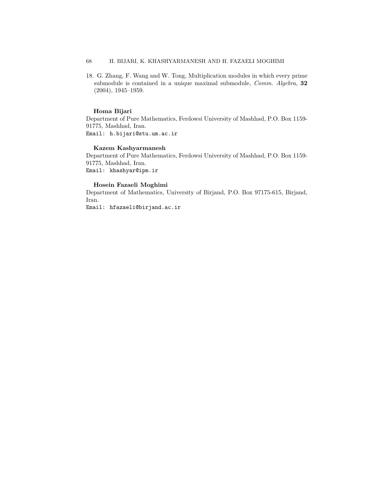## 68 H. BIJARI, K. KHASHYARMANESH AND H. FAZAELI MOGHIMI

<span id="page-15-0"></span>18. G. Zhang, F. Wang and W. Tong, Multiplication modules in which every prime submodule is contained in a unique maximal submodule, *Comm. Algebra*, **32** (2004), 1945–1959.

#### **Homa Bijari**

Department of Pure Mathematics, Ferdowsi University of Mashhad, P.O. Box 1159- 91775, Mashhad, Iran. Email: h.bijari@stu.um.ac.ir

#### **Kazem Kashyarmanesh**

Department of Pure Mathematics, Ferdowsi University of Mashhad, P.O. Box 1159- 91775, Mashhad, Iran. Email: khashyar@ipm.ir

#### **Hosein Fazaeli Moghimi**

Department of Mathematics, University of Birjand, P.O. Box 97175-615, Birjand, Iran.

Email: hfazaeli@birjand.ac.ir